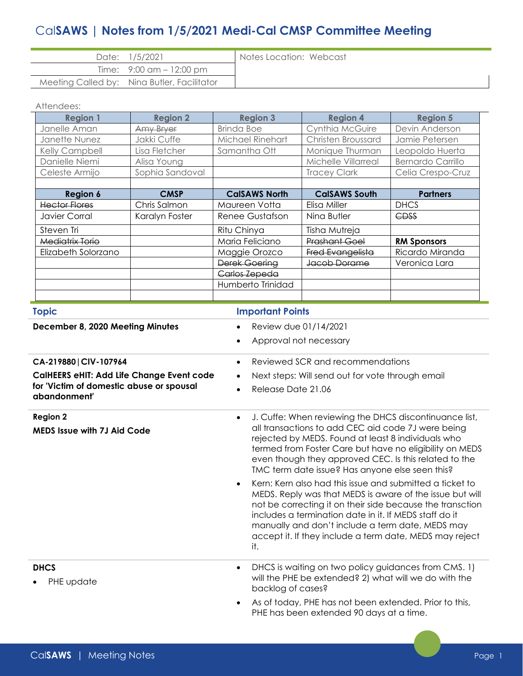# Cal**SAWS | Notes from 1/5/2021 Medi-Cal CMSP Committee Meeting**

| Date: 1/5/2021                              | Notes Location: Webcast |
|---------------------------------------------|-------------------------|
| Time: $9:00 \text{ cm} - 12:00 \text{ pm}$  |                         |
| Meeting Called by: Nina Butler, Facilitator |                         |

#### Attendees:

| <b>Region 1</b>        | <b>Region 2</b> | <b>Region 3</b>      | <b>Region 4</b>      | <b>Region 5</b>          |
|------------------------|-----------------|----------------------|----------------------|--------------------------|
| Janelle Aman           | Amy Bryer       | <b>Brinda Boe</b>    | Cynthia McGuire      | Devin Anderson           |
| Janette Nunez          | Jakki Cuffe     | Michael Rinehart     | Christen Broussard   | Jamie Petersen           |
| Kelly Campbell         | Lisa Fletcher   | Samantha Ott         | Monique Thurman      | Leopoldo Huerta          |
| Danielle Niemi         | Alisa Young     |                      | Michelle Villarreal  | <b>Bernardo Carrillo</b> |
| Celeste Armijo         | Sophia Sandoval |                      | <b>Tracey Clark</b>  | Celia Crespo-Cruz        |
|                        |                 |                      |                      |                          |
| Region 6               | <b>CMSP</b>     | <b>CalSAWS North</b> | <b>CalSAWS South</b> | <b>Partners</b>          |
| <b>Hector Flores</b>   | Chris Salmon    | Maureen Votta        | Elisa Miller         | <b>DHCS</b>              |
| Javier Corral          | Karalyn Foster  | Renee Gustafson      | Nina Butler          | <b>CDSS</b>              |
| Steven Tri             |                 | Ritu Chinya          | Tisha Mutreja        |                          |
| <b>Mediatrix Torio</b> |                 | Maria Feliciano      | <b>Prashant Goel</b> | <b>RM Sponsors</b>       |
| Elizabeth Solorzano    |                 | Maggie Orozco        | Fred Evangelista     | Ricardo Miranda          |
|                        |                 | Derek Goering        | Jacob Dorame         | Veronica Lara            |
|                        |                 | Carlos Zepeda        |                      |                          |
|                        |                 | Humberto Trinidad    |                      |                          |
|                        |                 |                      |                      |                          |

| <b>Topic</b>                                             | <b>Important Points</b>                                                                                                                                                                                                                                                                                                                                                        |  |  |
|----------------------------------------------------------|--------------------------------------------------------------------------------------------------------------------------------------------------------------------------------------------------------------------------------------------------------------------------------------------------------------------------------------------------------------------------------|--|--|
| December 8, 2020 Meeting Minutes                         | Review due 01/14/2021<br>$\bullet$                                                                                                                                                                                                                                                                                                                                             |  |  |
|                                                          | Approval not necessary                                                                                                                                                                                                                                                                                                                                                         |  |  |
| CA-219880   CIV-107964                                   | Reviewed SCR and recommendations<br>$\bullet$                                                                                                                                                                                                                                                                                                                                  |  |  |
| CalHEERS eHIT: Add Life Change Event code                | Next steps: Will send out for vote through email<br>٠                                                                                                                                                                                                                                                                                                                          |  |  |
| for 'Victim of domestic abuse or spousal<br>abandonment' | Release Date 21.06<br>$\bullet$                                                                                                                                                                                                                                                                                                                                                |  |  |
| <b>Region 2</b><br><b>MEDS</b> Issue with 7J Aid Code    | J. Cuffe: When reviewing the DHCS discontinuance list,<br>$\bullet$<br>all transactions to add CEC aid code 7J were being<br>rejected by MEDS. Found at least 8 individuals who<br>termed from Foster Care but have no eligibility on MEDS<br>even though they approved CEC. Is this related to the<br>TMC term date issue? Has anyone else seen this?                         |  |  |
|                                                          | Kern: Kern also had this issue and submitted a ticket to<br>$\bullet$<br>MEDS. Reply was that MEDS is aware of the issue but will<br>not be correcting it on their side because the transction<br>includes a termination date in it. If MEDS staff do it<br>manually and don't include a term date, MEDS may<br>accept it. If they include a term date, MEDS may reject<br>it. |  |  |
| <b>DHCS</b><br>PHE update                                | DHCS is waiting on two policy guidances from CMS. 1)<br>$\bullet$<br>will the PHE be extended? 2) what will we do with the<br>backlog of cases?                                                                                                                                                                                                                                |  |  |
|                                                          | As of today, PHE has not been extended. Prior to this,<br>PHE has been extended 90 days at a time.                                                                                                                                                                                                                                                                             |  |  |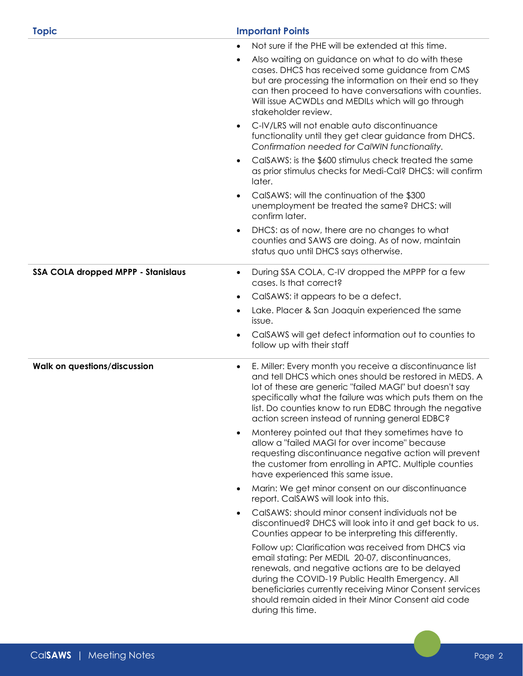| <b>Topic</b>                              | <b>Important Points</b>                                                                                                                                                                                                                                                                                                                                            |  |  |
|-------------------------------------------|--------------------------------------------------------------------------------------------------------------------------------------------------------------------------------------------------------------------------------------------------------------------------------------------------------------------------------------------------------------------|--|--|
|                                           | Not sure if the PHE will be extended at this time.                                                                                                                                                                                                                                                                                                                 |  |  |
|                                           | Also waiting on guidance on what to do with these<br>cases. DHCS has received some guidance from CMS<br>but are processing the information on their end so they<br>can then proceed to have conversations with counties.<br>Will issue ACWDLs and MEDILs which will go through<br>stakeholder review.                                                              |  |  |
|                                           | C-IV/LRS will not enable auto discontinuance<br>$\bullet$<br>functionality until they get clear guidance from DHCS.<br>Confirmation needed for CalWIN functionality.                                                                                                                                                                                               |  |  |
|                                           | CalSAWS: is the \$600 stimulus check treated the same<br>$\bullet$<br>as prior stimulus checks for Medi-Cal? DHCS: will confirm<br>later.                                                                                                                                                                                                                          |  |  |
|                                           | CalSAWS: will the continuation of the \$300<br>$\bullet$<br>unemployment be treated the same? DHCS: will<br>confirm later.                                                                                                                                                                                                                                         |  |  |
|                                           | DHCS: as of now, there are no changes to what<br>٠<br>counties and SAWS are doing. As of now, maintain<br>status quo until DHCS says otherwise.                                                                                                                                                                                                                    |  |  |
| <b>SSA COLA dropped MPPP - Stanislaus</b> | During SSA COLA, C-IV dropped the MPPP for a few<br>$\bullet$<br>cases. Is that correct?                                                                                                                                                                                                                                                                           |  |  |
|                                           | CalSAWS: it appears to be a defect.<br>٠                                                                                                                                                                                                                                                                                                                           |  |  |
|                                           | Lake. Placer & San Joaquin experienced the same<br>$\bullet$<br>issue.                                                                                                                                                                                                                                                                                             |  |  |
|                                           | CalSAWS will get defect information out to counties to<br>$\bullet$<br>follow up with their staff                                                                                                                                                                                                                                                                  |  |  |
| <b>Walk on questions/discussion</b>       | E. Miller: Every month you receive a discontinuance list<br>$\bullet$<br>and tell DHCS which ones should be restored in MEDS. A<br>lot of these are generic "failed MAGI" but doesn't say<br>specifically what the failure was which puts them on the<br>list. Do counties know to run EDBC through the negative<br>action screen instead of running general EDBC? |  |  |
|                                           | Monterey pointed out that they sometimes have to<br>$\bullet$<br>allow a "failed MAGI for over income" because<br>requesting discontinuance negative action will prevent<br>the customer from enrolling in APTC. Multiple counties<br>have experienced this same issue.                                                                                            |  |  |
|                                           | Marin: We get minor consent on our discontinuance<br>$\bullet$<br>report. CalSAWS will look into this.                                                                                                                                                                                                                                                             |  |  |
|                                           | CalSAWS: should minor consent individuals not be<br>$\bullet$<br>discontinued? DHCS will look into it and get back to us.<br>Counties appear to be interpreting this differently.                                                                                                                                                                                  |  |  |
|                                           | Follow up: Clarification was received from DHCS via<br>email stating: Per MEDIL 20-07, discontinuances,<br>renewals, and negative actions are to be delayed<br>during the COVID-19 Public Health Emergency. All<br>beneficiaries currently receiving Minor Consent services<br>should remain aided in their Minor Consent aid code<br>during this time.            |  |  |